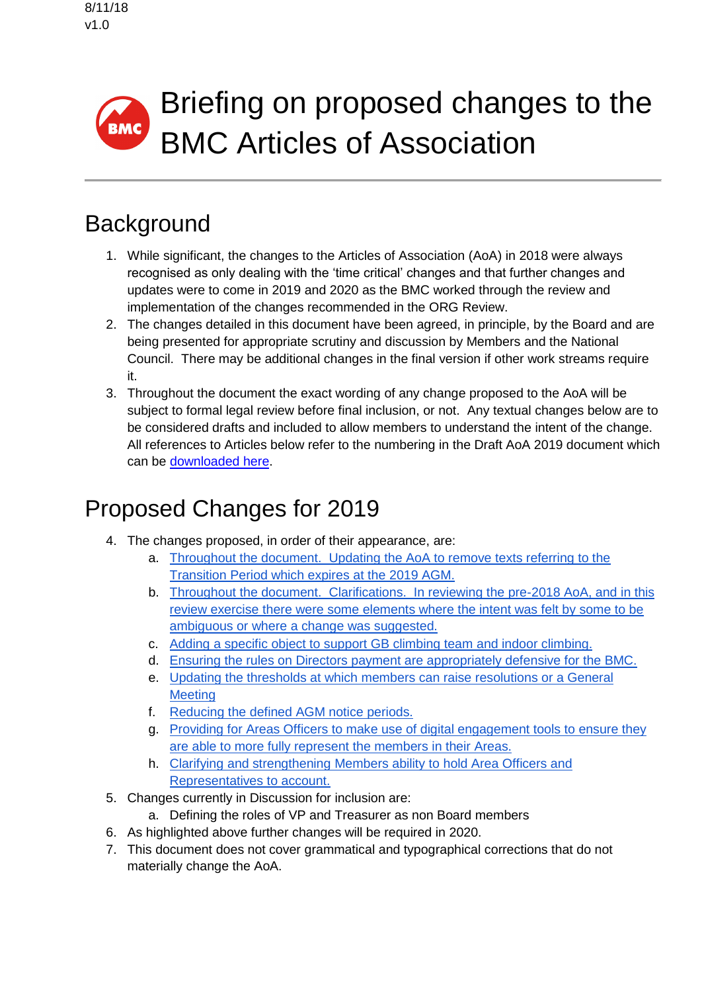# Briefing on proposed changes to the BMC BMC Articles of Association

# **Background**

- 1. While significant, the changes to the Articles of Association (AoA) in 2018 were always recognised as only dealing with the 'time critical' changes and that further changes and updates were to come in 2019 and 2020 as the BMC worked through the review and implementation of the changes recommended in the ORG Review.
- 2. The changes detailed in this document have been agreed, in principle, by the Board and are being presented for appropriate scrutiny and discussion by Members and the National Council. There may be additional changes in the final version if other work streams require it.
- 3. Throughout the document the exact wording of any change proposed to the AoA will be subject to formal legal review before final inclusion, or not. Any textual changes below are to be considered drafts and included to allow members to understand the intent of the change. All references to Articles below refer to the numbering in the Draft AoA 2019 document which can be [downloaded here.](https://www.thebmc.co.uk/Handlers/DownloadHandler.ashx?id=1687)

# Proposed Changes for 2019

- 4. The changes proposed, in order of their appearance, are:
	- a. [Throughout the document. Updating the AoA to remove texts referring to the](#page-5-0)  [Transition Period which expires at the 2019 AGM.](#page-5-0)
	- b. [Throughout the document. Clarifications. In reviewing the pre-2018 AoA, and in this](#page-5-1)  [review exercise there were some elements where the intent was felt by some to be](#page-5-1)  [ambiguous or where a change was suggested.](#page-5-1)
	- c. [Adding a specific object to support GB climbing team and indoor climbing.](#page-1-0)
	- d. [Ensuring the rules on Directors payment are appropriately defensive for the BMC.](#page-1-1)
	- e. [Updating the thresholds at which members can raise resolutions or a General](#page-2-0)  **[Meeting](#page-2-0)**
	- f. [Reducing the defined AGM notice periods.](#page-3-0)
	- g. [Providing for Areas Officers to make use of digital engagement tools to ensure they](#page-4-0)  [are able to more fully represent the members in their Areas.](#page-4-0)
	- h. [Clarifying and strengthening Members ability to hold Area Officers and](#page-4-1)  [Representatives to account.](#page-4-1)
- 5. Changes currently in Discussion for inclusion are:
	- a. Defining the roles of VP and Treasurer as non Board members
- 6. As highlighted above further changes will be required in 2020.
- 7. This document does not cover grammatical and typographical corrections that do not materially change the AoA.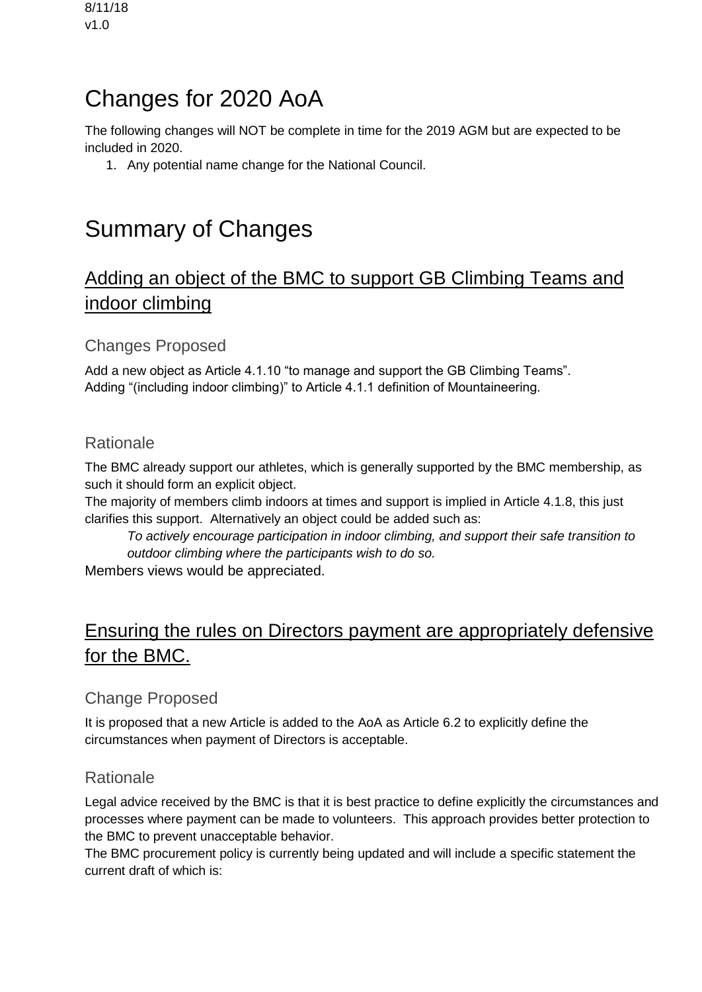# Changes for 2020 AoA

The following changes will NOT be complete in time for the 2019 AGM but are expected to be included in 2020.

1. Any potential name change for the National Council.

# Summary of Changes

# <span id="page-1-0"></span>Adding an object of the BMC to support GB Climbing Teams and indoor climbing

### Changes Proposed

Add a new object as Article 4.1.10 "to manage and support the GB Climbing Teams". Adding "(including indoor climbing)" to Article 4.1.1 definition of Mountaineering.

### Rationale

The BMC already support our athletes, which is generally supported by the BMC membership, as such it should form an explicit object.

The majority of members climb indoors at times and support is implied in Article 4.1.8, this just clarifies this support. Alternatively an object could be added such as:

*To actively encourage participation in indoor climbing, and support their safe transition to outdoor climbing where the participants wish to do so.*

Members views would be appreciated.

# <span id="page-1-1"></span>Ensuring the rules on Directors payment are appropriately defensive for the BMC.

## Change Proposed

It is proposed that a new Article is added to the AoA as Article 6.2 to explicitly define the circumstances when payment of Directors is acceptable.

## Rationale

Legal advice received by the BMC is that it is best practice to define explicitly the circumstances and processes where payment can be made to volunteers. This approach provides better protection to the BMC to prevent unacceptable behavior.

The BMC procurement policy is currently being updated and will include a specific statement the current draft of which is: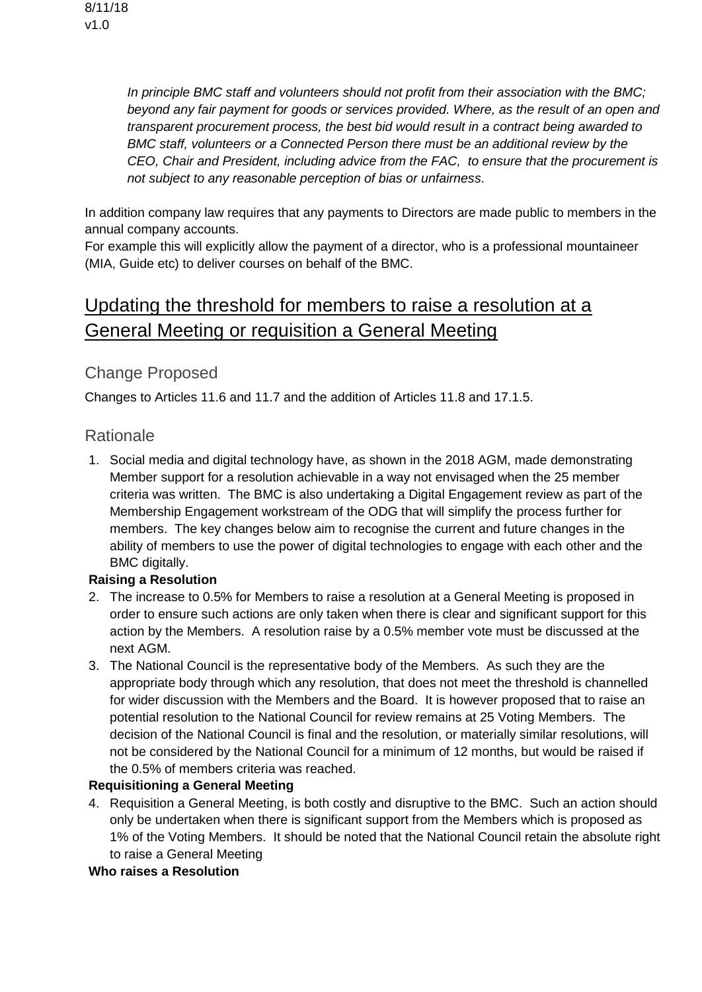*In principle BMC staff and volunteers should not profit from their association with the BMC; beyond any fair payment for goods or services provided. Where, as the result of an open and transparent procurement process, the best bid would result in a contract being awarded to BMC staff, volunteers or a Connected Person there must be an additional review by the CEO, Chair and President, including advice from the FAC, to ensure that the procurement is not subject to any reasonable perception of bias or unfairness*.

In addition company law requires that any payments to Directors are made public to members in the annual company accounts.

For example this will explicitly allow the payment of a director, who is a professional mountaineer (MIA, Guide etc) to deliver courses on behalf of the BMC.

# <span id="page-2-0"></span>Updating the threshold for members to raise a resolution at a General Meeting or requisition a General Meeting

### Change Proposed

Changes to Articles 11.6 and 11.7 and the addition of Articles 11.8 and 17.1.5.

### Rationale

1. Social media and digital technology have, as shown in the 2018 AGM, made demonstrating Member support for a resolution achievable in a way not envisaged when the 25 member criteria was written. The BMC is also undertaking a Digital Engagement review as part of the Membership Engagement workstream of the ODG that will simplify the process further for members. The key changes below aim to recognise the current and future changes in the ability of members to use the power of digital technologies to engage with each other and the BMC digitally.

#### **Raising a Resolution**

- 2. The increase to 0.5% for Members to raise a resolution at a General Meeting is proposed in order to ensure such actions are only taken when there is clear and significant support for this action by the Members. A resolution raise by a 0.5% member vote must be discussed at the next AGM.
- 3. The National Council is the representative body of the Members. As such they are the appropriate body through which any resolution, that does not meet the threshold is channelled for wider discussion with the Members and the Board. It is however proposed that to raise an potential resolution to the National Council for review remains at 25 Voting Members. The decision of the National Council is final and the resolution, or materially similar resolutions, will not be considered by the National Council for a minimum of 12 months, but would be raised if the 0.5% of members criteria was reached.

#### **Requisitioning a General Meeting**

4. Requisition a General Meeting, is both costly and disruptive to the BMC. Such an action should only be undertaken when there is significant support from the Members which is proposed as 1% of the Voting Members. It should be noted that the National Council retain the absolute right to raise a General Meeting

#### **Who raises a Resolution**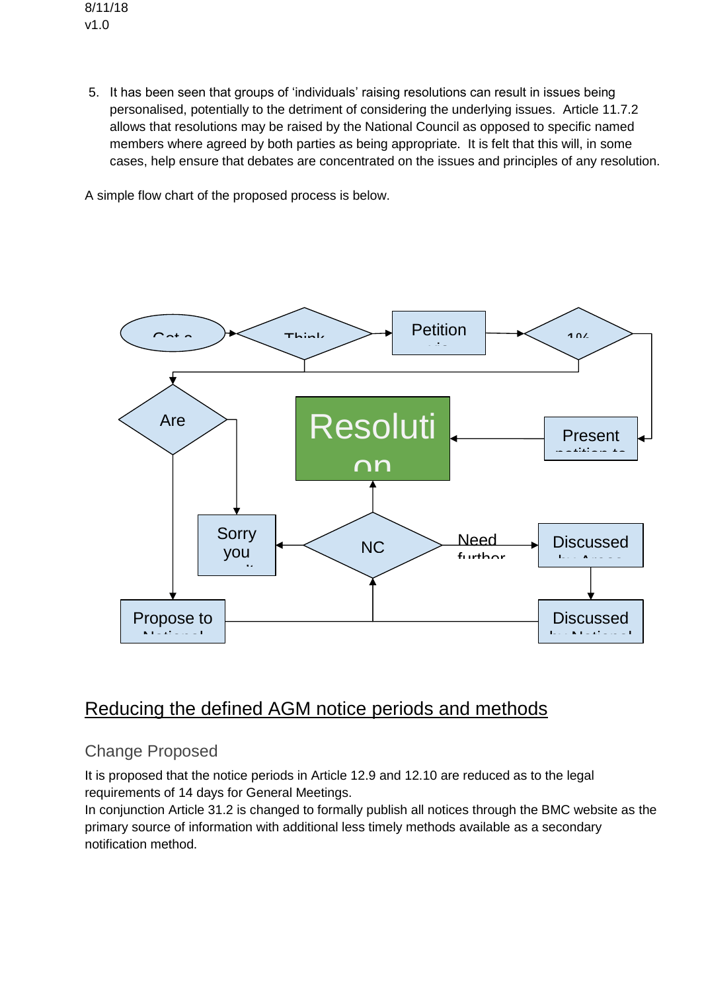8/11/18 v1.0

> 5. It has been seen that groups of 'individuals' raising resolutions can result in issues being personalised, potentially to the detriment of considering the underlying issues. Article 11.7.2 allows that resolutions may be raised by the National Council as opposed to specific named members where agreed by both parties as being appropriate. It is felt that this will, in some cases, help ensure that debates are concentrated on the issues and principles of any resolution.

A simple flow chart of the proposed process is below.



# <span id="page-3-0"></span>Reducing the defined AGM notice periods and methods

## Change Proposed

It is proposed that the notice periods in Article 12.9 and 12.10 are reduced as to the legal requirements of 14 days for General Meetings.

In conjunction Article 31.2 is changed to formally publish all notices through the BMC website as the primary source of information with additional less timely methods available as a secondary notification method.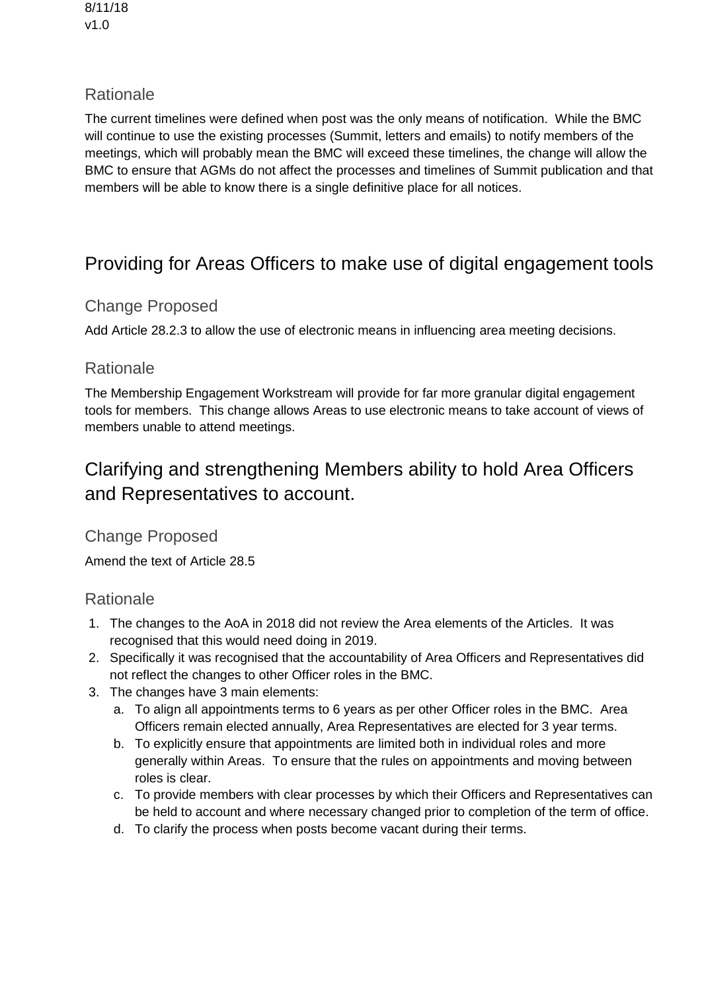8/11/18 v1.0

### Rationale

The current timelines were defined when post was the only means of notification. While the BMC will continue to use the existing processes (Summit, letters and emails) to notify members of the meetings, which will probably mean the BMC will exceed these timelines, the change will allow the BMC to ensure that AGMs do not affect the processes and timelines of Summit publication and that members will be able to know there is a single definitive place for all notices.

# <span id="page-4-0"></span>Providing for Areas Officers to make use of digital engagement tools

### Change Proposed

Add Article 28.2.3 to allow the use of electronic means in influencing area meeting decisions.

### Rationale

The Membership Engagement Workstream will provide for far more granular digital engagement tools for members. This change allows Areas to use electronic means to take account of views of members unable to attend meetings.

# <span id="page-4-1"></span>Clarifying and strengthening Members ability to hold Area Officers and Representatives to account.

### Change Proposed

Amend the text of Article 28.5

### Rationale

- 1. The changes to the AoA in 2018 did not review the Area elements of the Articles. It was recognised that this would need doing in 2019.
- 2. Specifically it was recognised that the accountability of Area Officers and Representatives did not reflect the changes to other Officer roles in the BMC.
- 3. The changes have 3 main elements:
	- a. To align all appointments terms to 6 years as per other Officer roles in the BMC. Area Officers remain elected annually, Area Representatives are elected for 3 year terms.
	- b. To explicitly ensure that appointments are limited both in individual roles and more generally within Areas. To ensure that the rules on appointments and moving between roles is clear.
	- c. To provide members with clear processes by which their Officers and Representatives can be held to account and where necessary changed prior to completion of the term of office.
	- d. To clarify the process when posts become vacant during their terms.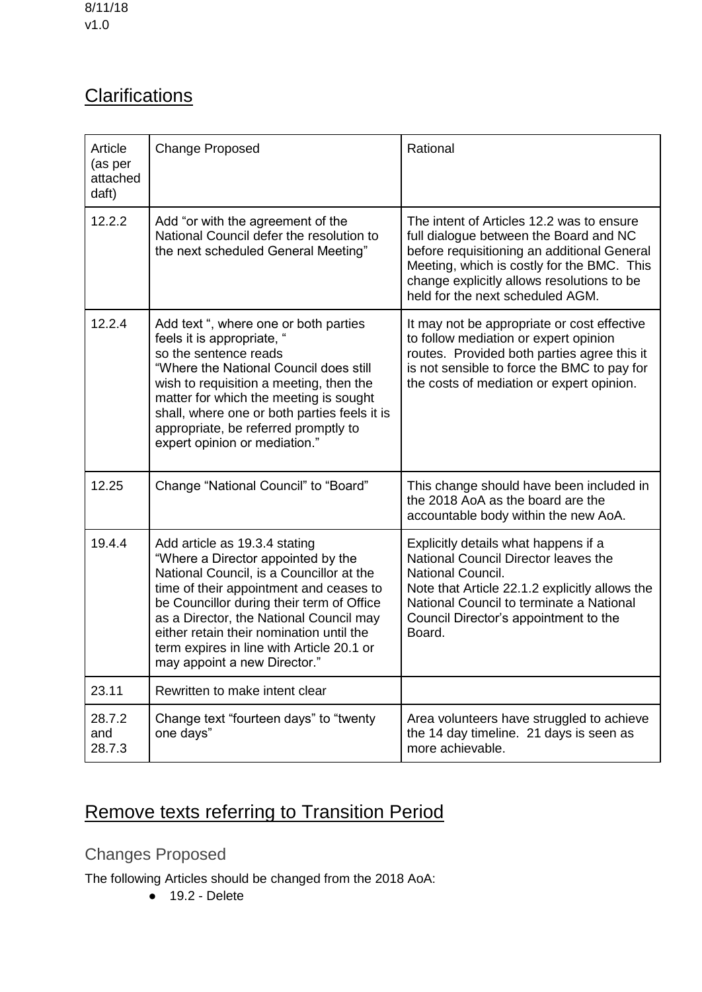# <span id="page-5-1"></span>**Clarifications**

| Article<br>(as per<br>attached<br>daft) | <b>Change Proposed</b>                                                                                                                                                                                                                                                                                                                                                      | Rational                                                                                                                                                                                                                                                           |
|-----------------------------------------|-----------------------------------------------------------------------------------------------------------------------------------------------------------------------------------------------------------------------------------------------------------------------------------------------------------------------------------------------------------------------------|--------------------------------------------------------------------------------------------------------------------------------------------------------------------------------------------------------------------------------------------------------------------|
| 12.2.2                                  | Add "or with the agreement of the<br>National Council defer the resolution to<br>the next scheduled General Meeting"                                                                                                                                                                                                                                                        | The intent of Articles 12.2 was to ensure<br>full dialogue between the Board and NC<br>before requisitioning an additional General<br>Meeting, which is costly for the BMC. This<br>change explicitly allows resolutions to be<br>held for the next scheduled AGM. |
| 12.2.4                                  | Add text ", where one or both parties<br>feels it is appropriate, "<br>so the sentence reads<br>"Where the National Council does still<br>wish to requisition a meeting, then the<br>matter for which the meeting is sought<br>shall, where one or both parties feels it is<br>appropriate, be referred promptly to<br>expert opinion or mediation."                        | It may not be appropriate or cost effective<br>to follow mediation or expert opinion<br>routes. Provided both parties agree this it<br>is not sensible to force the BMC to pay for<br>the costs of mediation or expert opinion.                                    |
| 12.25                                   | Change "National Council" to "Board"                                                                                                                                                                                                                                                                                                                                        | This change should have been included in<br>the 2018 AoA as the board are the<br>accountable body within the new AoA.                                                                                                                                              |
| 19.4.4                                  | Add article as 19.3.4 stating<br>"Where a Director appointed by the<br>National Council, is a Councillor at the<br>time of their appointment and ceases to<br>be Councillor during their term of Office<br>as a Director, the National Council may<br>either retain their nomination until the<br>term expires in line with Article 20.1 or<br>may appoint a new Director." | Explicitly details what happens if a<br>National Council Director leaves the<br>National Council.<br>Note that Article 22.1.2 explicitly allows the<br>National Council to terminate a National<br>Council Director's appointment to the<br>Board.                 |
| 23.11                                   | Rewritten to make intent clear                                                                                                                                                                                                                                                                                                                                              |                                                                                                                                                                                                                                                                    |
| 28.7.2<br>and<br>28.7.3                 | Change text "fourteen days" to "twenty<br>one days"                                                                                                                                                                                                                                                                                                                         | Area volunteers have struggled to achieve<br>the 14 day timeline. 21 days is seen as<br>more achievable.                                                                                                                                                           |

# <span id="page-5-0"></span>Remove texts referring to Transition Period

Changes Proposed

The following Articles should be changed from the 2018 AoA:

● 19.2 - Delete